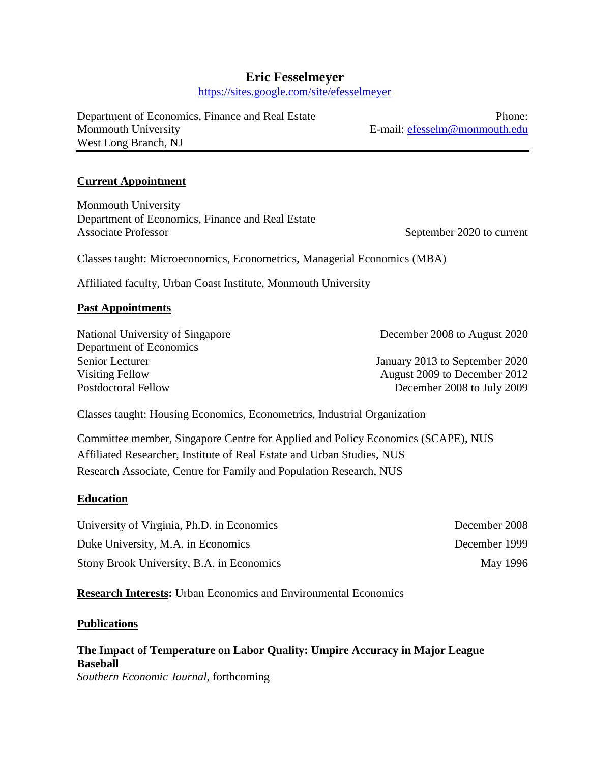# **Eric Fesselmeyer**

https://sites.google.com/site/efesselmeyer

Department of Economics, Finance and Real Estate Phone: Monmouth University **E**-mail: [efesselm@monmouth.edu](mailto:efesselm@monmouth.edu) West Long Branch, NJ

#### **Current Appointment**

Monmouth University Department of Economics, Finance and Real Estate Associate Professor September 2020 to current

Classes taught: Microeconomics, Econometrics, Managerial Economics (MBA)

Affiliated faculty, Urban Coast Institute, Monmouth University

#### **Past Appointments**

National University of Singapore December 2008 to August 2020 Department of Economics Senior Lecturer January 2013 to September 2020 Visiting Fellow August 2009 to December 2012 Postdoctoral Fellow December 2008 to July 2009

Classes taught: Housing Economics, Econometrics, Industrial Organization

Committee member, Singapore Centre for Applied and Policy Economics (SCAPE), NUS Affiliated Researcher, Institute of Real Estate and Urban Studies, NUS Research Associate, Centre for Family and Population Research, NUS

#### **Education**

| University of Virginia, Ph.D. in Economics | December 2008 |
|--------------------------------------------|---------------|
| Duke University, M.A. in Economics         | December 1999 |
| Stony Brook University, B.A. in Economics  | May 1996      |

**Research Interests:** Urban Economics and Environmental Economics

#### **Publications**

## **The Impact of Temperature on Labor Quality: Umpire Accuracy in Major League Baseball** *Southern Economic Journal*, forthcoming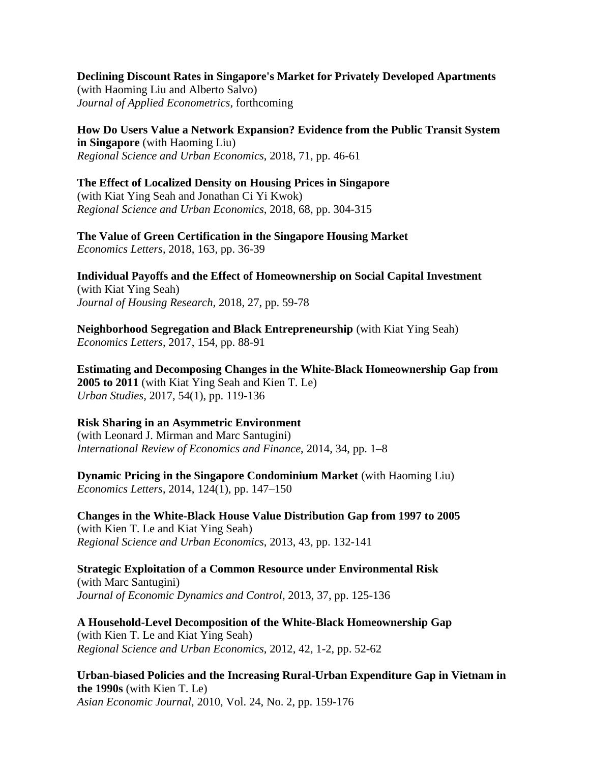**Declining Discount Rates in Singapore's Market for Privately Developed Apartments** (with Haoming Liu and Alberto Salvo) *Journal of Applied Econometrics*, forthcoming

**[How Do Users Value a Network Expansion? Evidence from the Public Transit System](http://papers.ssrn.com/sol3/papers.cfm?abstract_id=2824355)  [in Singapore](http://papers.ssrn.com/sol3/papers.cfm?abstract_id=2824355)** (with Haoming Liu) *Regional Science and Urban Economics*, 2018, 71, pp. 46-61

#### **The Effect of Localized Density on Housing Prices in Singapore** (with Kiat Ying Seah and Jonathan Ci Yi Kwok) *Regional Science and Urban Economics*, 2018, 68, pp. 304-315

**The Value of Green Certification in the Singapore Housing Market**  *Economics Letters*, 2018, 163, pp. 36-39

**Individual Payoffs and the Effect of Homeownership on Social Capital Investment** (with Kiat Ying Seah) *Journal of Housing Research*, 2018, 27, pp. 59-78

**[Neighborhood Segregation and Black Entrepreneurship](http://papers.ssrn.com/sol3/papers.cfm?abstract_id=2829311)** (with Kiat Ying Seah) *Economics Letters*, 2017, 154, pp. 88-91

**Estimating and Decomposing Changes in the White-Black Homeownership Gap from 2005 to 2011** (with Kiat Ying Seah and Kien T. Le) *Urban Studies*, 2017, 54(1), pp. 119-136

#### **Risk Sharing in an Asymmetric Environment**

(with Leonard J. Mirman and Marc Santugini) *International Review of Economics and Finance*, 2014, 34, pp. 1–8

**Dynamic Pricing in the Singapore Condominium Market** (with Haoming Liu) *Economics Letters*, 2014, [124\(1\),](http://www.sciencedirect.com/science/journal/01651765/124/1) pp. 147–150

**Changes in the White-Black House Value Distribution Gap from 1997 to 2005** (with Kien T. Le and Kiat Ying Seah) *Regional Science and Urban Economics*, 2013, 43, pp. 132-141

**Strategic Exploitation of a Common Resource under Environmental Risk** (with Marc Santugini) *Journal of Economic Dynamics and Control*, 2013, 37, pp. 125-136

**A Household-Level Decomposition of the White-Black Homeownership Gap** (with Kien T. Le and Kiat Ying Seah) *Regional Science and Urban Economics*, 2012, 42, 1-2, pp. 52-62

**Urban-biased Policies and the Increasing Rural-Urban Expenditure Gap in Vietnam in the 1990s** (with Kien T. Le) *Asian Economic Journal*, 2010, Vol. 24, No. 2, pp. 159-176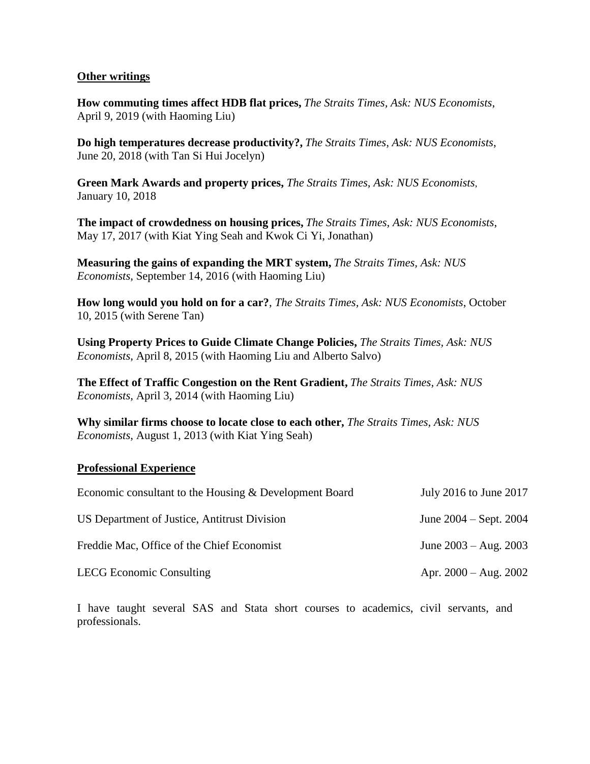#### **Other writings**

**How commuting times affect HDB flat prices,** *The Straits Times, Ask: NUS Economists*, April 9, 2019 (with Haoming Liu)

**Do high temperatures decrease productivity?,** *The Straits Times, Ask: NUS Economists*, June 20, 2018 (with Tan Si Hui Jocelyn)

**Green Mark Awards and property prices,** *The Straits Times, Ask: NUS Economists*, January 10, 2018

**The impact of crowdedness on housing prices,** *The Straits Times, Ask: NUS Economists*, May 17, 2017 (with Kiat Ying Seah and Kwok Ci Yi, Jonathan)

**Measuring the gains of expanding the MRT system,** *The Straits Times, Ask: NUS Economists*, September 14, 2016 (with Haoming Liu)

**How long would you hold on for a car?**, *The Straits Times, Ask: NUS Economists*, October 10, 2015 (with Serene Tan)

**Using Property Prices to Guide Climate Change Policies,** *The Straits Times, Ask: NUS Economists*, April 8, 2015 (with Haoming Liu and Alberto Salvo)

**The Effect of Traffic Congestion on the Rent Gradient,** *The Straits Times, Ask: NUS Economists*, April 3, 2014 (with Haoming Liu)

**Why similar firms choose to locate close to each other,** *The Straits Times, Ask: NUS Economists*, August 1, 2013 (with Kiat Ying Seah)

#### **Professional Experience**

| Economic consultant to the Housing & Development Board | July 2016 to June 2017     |
|--------------------------------------------------------|----------------------------|
| US Department of Justice, Antitrust Division           | June $2004 -$ Sept. $2004$ |
| Freddie Mac, Office of the Chief Economist             | June $2003 - Aug. 2003$    |
| <b>LECG</b> Economic Consulting                        | Apr. $2000 - Aug. 2002$    |

I have taught several SAS and Stata short courses to academics, civil servants, and professionals.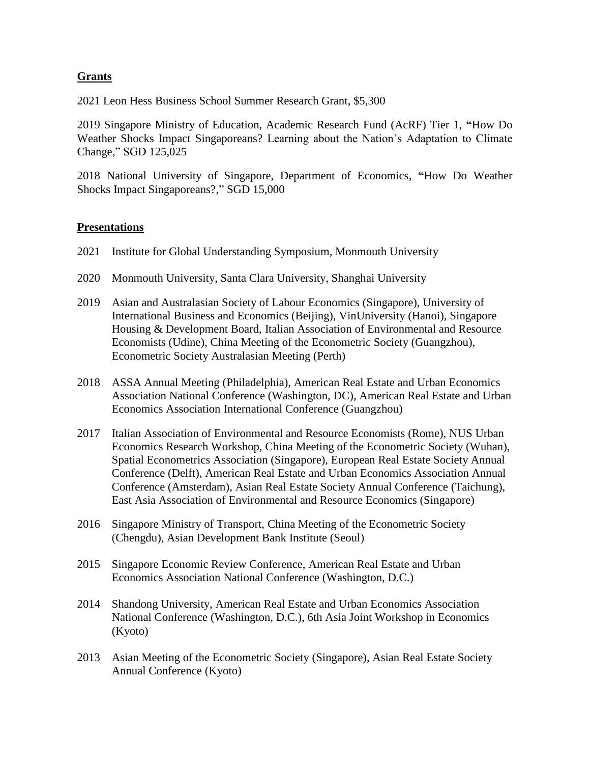### **Grants**

2021 Leon Hess Business School Summer Research Grant, \$5,300

2019 Singapore Ministry of Education, Academic Research Fund (AcRF) Tier 1, **"**How Do Weather Shocks Impact Singaporeans? Learning about the Nation's Adaptation to Climate Change," SGD 125,025

2018 National University of Singapore, Department of Economics, **"**How Do Weather Shocks Impact Singaporeans?," SGD 15,000

#### **Presentations**

- 2021 Institute for Global Understanding Symposium, Monmouth University
- 2020 Monmouth University, Santa Clara University, Shanghai University
- 2019 Asian and Australasian Society of Labour Economics (Singapore), University of International Business and Economics (Beijing), VinUniversity (Hanoi), Singapore Housing & Development Board, Italian Association of Environmental and Resource Economists (Udine), China Meeting of the Econometric Society (Guangzhou), Econometric Society Australasian Meeting (Perth)
- 2018 ASSA Annual Meeting (Philadelphia), American Real Estate and Urban Economics Association National Conference (Washington, DC), American Real Estate and Urban Economics Association International Conference (Guangzhou)
- 2017 Italian Association of Environmental and Resource Economists (Rome), NUS Urban Economics Research Workshop, China Meeting of the Econometric Society (Wuhan), Spatial Econometrics Association (Singapore), European Real Estate Society Annual Conference (Delft), American Real Estate and Urban Economics Association Annual Conference (Amsterdam), Asian Real Estate Society Annual Conference (Taichung), East Asia Association of Environmental and Resource Economics (Singapore)
- 2016 Singapore Ministry of Transport, China Meeting of the Econometric Society (Chengdu), Asian Development Bank Institute (Seoul)
- 2015 Singapore Economic Review Conference, American Real Estate and Urban Economics Association National Conference (Washington, D.C.)
- 2014 Shandong University, American Real Estate and Urban Economics Association National Conference (Washington, D.C.), 6th Asia Joint Workshop in Economics (Kyoto)
- 2013 Asian Meeting of the Econometric Society (Singapore), Asian Real Estate Society Annual Conference (Kyoto)